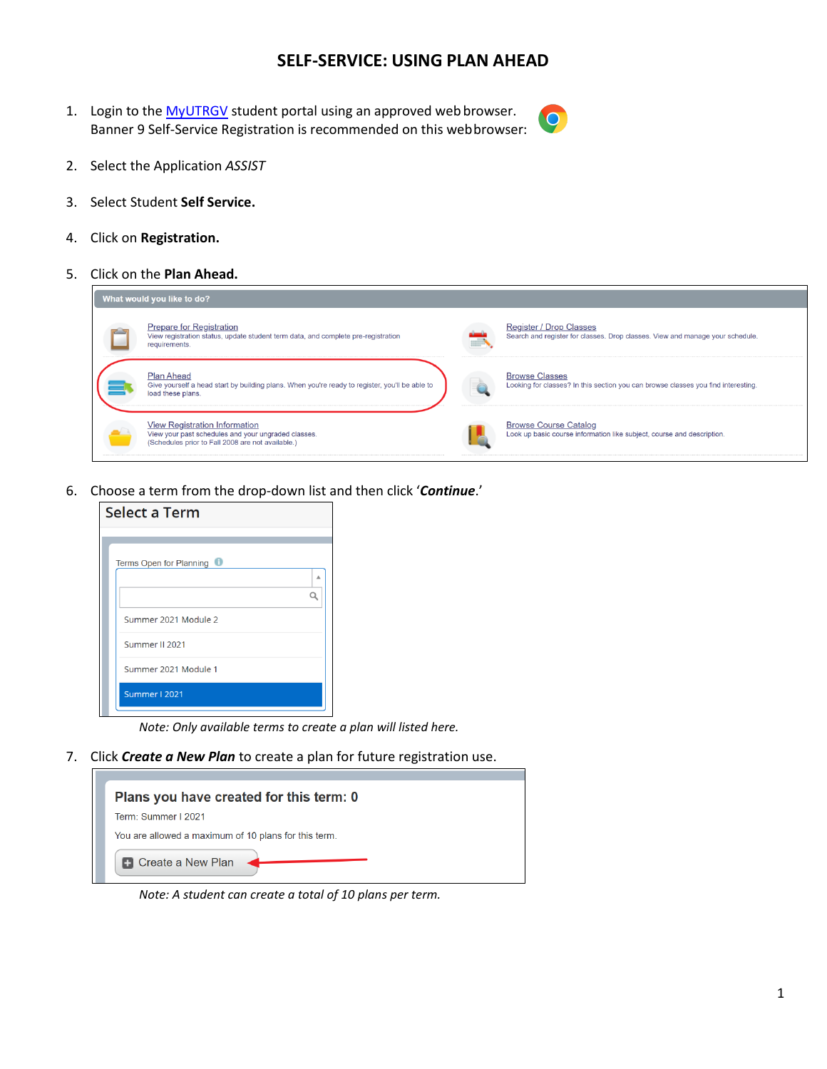## **SELF-SERVICE: USING PLAN AHEAD**

1. Login to the [MyUTRGV](https://my.utrgv.edu/home) student portal using an approved web browser. Banner 9 Self-Service Registration is recommended on this webbrowser:



- 2. Select the Application *ASSIST*
- 3. Select Student **Self Service.**
- 4. Click on **Registration.**
- 5. Click on the **Plan Ahead.**



6. Choose a term from the drop-down list and then click '*Continue*.'

| Select a Term           |
|-------------------------|
|                         |
| Terms Open for Planning |
| ▲                       |
|                         |
| Summer 2021 Module 2    |
| Summer II 2021          |
| Summer 2021 Module 1    |
| Summer I 2021           |

*Note: Only available terms to create a plan will listed here.*

7. Click *Create a New Plan* to create a plan for future registration use.

| Plans you have created for this term: 0              |
|------------------------------------------------------|
| Term: Summer I 2021                                  |
| You are allowed a maximum of 10 plans for this term. |
| <b>+ Create a New Plan</b> <                         |

*Note: A student can create a total of 10 plans per term.*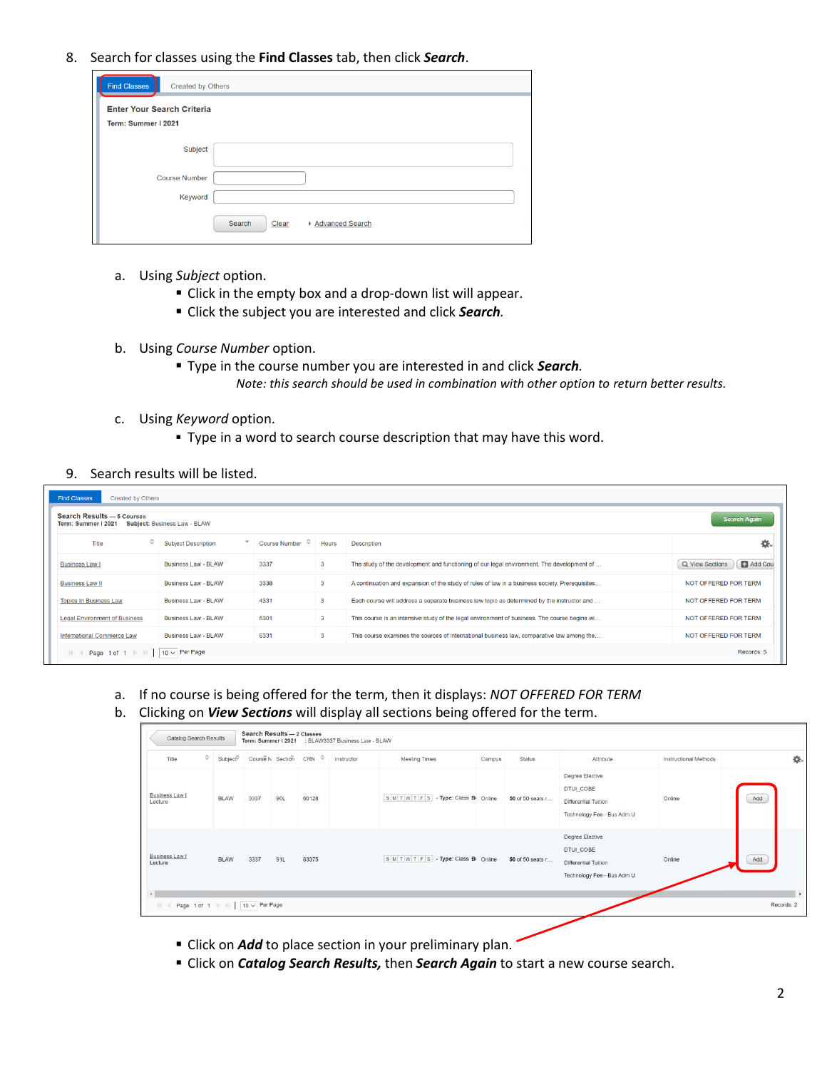8. Search for classes using the **Find Classes** tab, then click *Search*.

| <b>Find Classes</b><br>Created by Others                 |                                    |  |
|----------------------------------------------------------|------------------------------------|--|
| <b>Enter Your Search Criteria</b><br>Term: Summer I 2021 |                                    |  |
| Subject                                                  |                                    |  |
| <b>Course Number</b>                                     |                                    |  |
| Keyword                                                  |                                    |  |
|                                                          | Search<br>Advanced Search<br>Clear |  |

- a. Using *Subject* option.
	- Click in the empty box and a drop-down list will appear.
	- Click the subject you are interested and click *Search.*
- b. Using *Course Number* option.
	- Type in the course number you are interested in and click *Search. Note: this search should be used in combination with other option to return better results.*
- c. Using *Keyword* option.
	- **Type in a word to search course description that may have this word.**

## 9. Search results will be listed.

| <b>Find Classes</b><br><b>Search Results - 5 Courses</b> | Created by Others<br><b>Search Again</b><br>Term: Summer I 2021 Subject: Business Law - BLAW |                            |       |                                                                                                |                            |  |  |  |  |  |  |  |  |
|----------------------------------------------------------|----------------------------------------------------------------------------------------------|----------------------------|-------|------------------------------------------------------------------------------------------------|----------------------------|--|--|--|--|--|--|--|--|
| $\hat{C}$<br>Title                                       | <b>Subject Description</b>                                                                   | Course Number $\heartsuit$ | Hours | <b>Description</b>                                                                             | 烧                          |  |  |  |  |  |  |  |  |
| Business Law I                                           | Business Law - BLAW                                                                          | 3337                       | 3     | The study of the development and functioning of our legal environment. The development of      | Add Cou<br>Q View Sections |  |  |  |  |  |  |  |  |
| Business Law II                                          | <b>Business Law - BLAW</b>                                                                   | 3338                       | 3     | A continuation and expansion of the study of rules of law in a business society. Prerequisites | NOT OFFERED FOR TERM       |  |  |  |  |  |  |  |  |
| <b>Topics In Business Law</b>                            | Business Law - BLAW                                                                          | 4331                       | 3     | Each course will address a separate business law topic as determined by the instructor and     | NOT OFFERED FOR TERM       |  |  |  |  |  |  |  |  |
| <b>Legal Environment of Business</b>                     | Business Law - BLAW                                                                          | 6301                       | 3     | This course is an intensive study of the legal environment of business. The course begins wi   | NOT OFFERED FOR TERM       |  |  |  |  |  |  |  |  |
| <b>International Commerce Law</b>                        | Business Law - BLAW                                                                          | 6331                       | 3     | This course examines the sources of international business law, comparative law among the      | NOT OFFERED FOR TERM       |  |  |  |  |  |  |  |  |
| Page 1 of 1 $\mathbb{N}$<br>$\mathbb{N}$                 | $10 \vee$ Per Page                                                                           |                            |       |                                                                                                | Records: 5                 |  |  |  |  |  |  |  |  |

- a. If no course is being offered for the term, then it displays: *NOT OFFERED FOR TERM*
- b. Clicking on *View Sections* will display all sections being offered for the term.

| Catalog Search Results                                      |             | Search Results - 2 Classes                             |     |       | Term: Summer I 2021 : BLAW3337 Business Law - BLAW |                                       |        |                  |                                                                                    |                       |                            |
|-------------------------------------------------------------|-------------|--------------------------------------------------------|-----|-------|----------------------------------------------------|---------------------------------------|--------|------------------|------------------------------------------------------------------------------------|-----------------------|----------------------------|
| Title                                                       | $\circ$     | Subject <sup>C</sup> Course N Section CRN C Instructor |     |       |                                                    | Meeting Times                         | Campus | Status           | Attribute                                                                          | Instructional Methods | 桊.                         |
| Business Law I<br>Lecture                                   | <b>BLAW</b> | 3337                                                   | 90L | 60128 |                                                    | S M T W T F S - Type: Class B: Online |        | 50 of 50 seats r | Degree Elective<br>DTUI_COBE<br>Differential Tuition<br>Technology Fee - Bus Adm U | Online                | Add                        |
| Business Law I<br>Lecture                                   | <b>BLAW</b> | 3337                                                   | 91L | 63375 |                                                    | SMTWTFS-Type: Class BI Online         |        | 50 of 50 seats r | Degree Elective<br>DTUI_COBE<br>Differential Tuition<br>Technology Fee - Bus Adm U | Online                | Add                        |
| Page 1 of 1   $\parallel$   $\sqrt{10 \vee}$ Per Page<br>K. |             |                                                        |     |       |                                                    |                                       |        |                  |                                                                                    |                       | $\mathbf{F}$<br>Records: 2 |

- **EXECT** Click on *Add* to place section in your preliminary plan.
- Click on *Catalog Search Results,* then *Search Again* to start a new course search.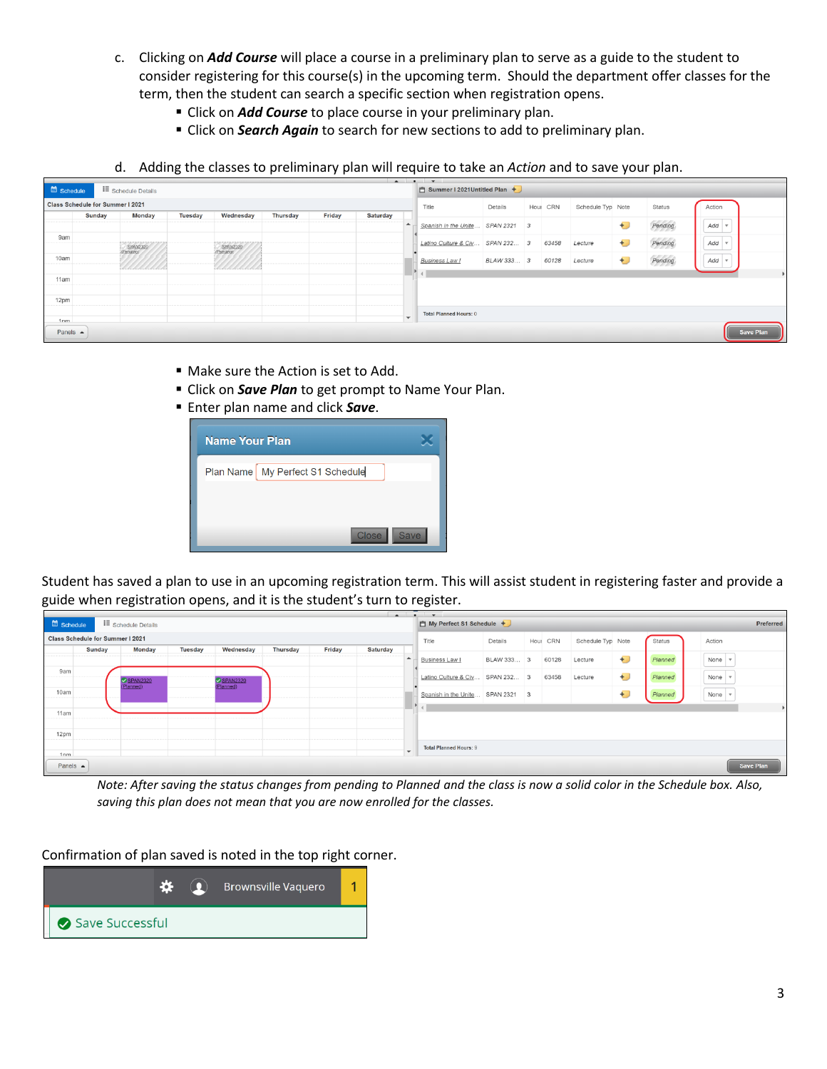- c. Clicking on *Add Course* will place a course in a preliminary plan to serve as a guide to the student to consider registering for this course(s) in the upcoming term. Should the department offer classes for the term, then the student can search a specific section when registration opens.
	- **EXTENCH COULD COURSE COULD FOR** *Click* on *Add Course* to place course in your preliminary plan.
	- **EXTENDED IN** *Search Again* to search for new sections to add to preliminary plan.
- d. Adding the classes to preliminary plan will require to take an *Action* and to save your plan.

| Schedule           |                                  | <b>E</b> Schedule Details          |                |                             |                 |        | □ Summer I 2021Untitled Plan + |                          |                               |             |  |          |                   |       |         |                       |                  |
|--------------------|----------------------------------|------------------------------------|----------------|-----------------------------|-----------------|--------|--------------------------------|--------------------------|-------------------------------|-------------|--|----------|-------------------|-------|---------|-----------------------|------------------|
|                    | Class Schedule for Summer I 2021 |                                    |                |                             |                 |        |                                |                          |                               | Details     |  | Hour CRN | Schedule Typ Note |       | Status  | Action                |                  |
|                    | <b>Sunday</b>                    | <b>Monday</b>                      | <b>Tuesday</b> | Wednesday                   | <b>Thursday</b> | Friday | <b>Saturday</b>                |                          |                               |             |  |          |                   |       |         |                       |                  |
|                    |                                  |                                    |                |                             |                 |        |                                | $\blacktriangle$         | Spanish in the Unite          | SPAN 2321 3 |  |          |                   | €     | Pending | $Add \times$          |                  |
| 9am                |                                  |                                    |                |                             |                 |        |                                |                          |                               |             |  |          |                   |       |         |                       |                  |
|                    |                                  | <b>TAPAPAPAPAPAPAP</b><br>SPAN2320 |                | ---------------<br>SPAN2320 |                 |        |                                |                          | Latino Culture & Civ          | SPAN 232 3  |  | 63458    | Lecture           | €J    | Pending | $Add \nightharpoonup$ |                  |
| 10am               |                                  |                                    |                |                             |                 |        |                                |                          |                               |             |  |          |                   |       |         |                       |                  |
|                    |                                  |                                    |                |                             |                 |        |                                |                          | <b>Business Law I</b>         | BLAW 333 3  |  | 60128    | Lecture           | $\pm$ | Pending | $Add \vee$            |                  |
|                    |                                  | , les des des des des des des      |                |                             |                 |        |                                |                          | $\mathbb{F}$ +                |             |  |          |                   |       |         |                       |                  |
| 11am               |                                  |                                    |                |                             |                 |        |                                |                          |                               |             |  |          |                   |       |         |                       |                  |
|                    |                                  |                                    |                |                             |                 |        |                                |                          |                               |             |  |          |                   |       |         |                       |                  |
| 12pm               |                                  |                                    |                |                             |                 |        |                                |                          |                               |             |  |          |                   |       |         |                       |                  |
|                    |                                  |                                    |                |                             |                 |        |                                |                          |                               |             |  |          |                   |       |         |                       |                  |
| 1nm                |                                  |                                    |                |                             |                 |        |                                | $\overline{\phantom{0}}$ | <b>Total Planned Hours: 0</b> |             |  |          |                   |       |         |                       |                  |
|                    |                                  |                                    |                |                             |                 |        |                                |                          |                               |             |  |          |                   |       |         |                       |                  |
| Panels $\triangle$ |                                  |                                    |                |                             |                 |        |                                |                          |                               |             |  |          |                   |       |         |                       | <b>Save Plan</b> |
|                    |                                  |                                    |                |                             |                 |        |                                |                          |                               |             |  |          |                   |       |         |                       |                  |

- Make sure the Action is set to Add.
- **E** Click on **Save Plan** to get prompt to Name Your Plan.
- **Enter plan name and click Save.**



Student has saved a plan to use in an upcoming registration term. This will assist student in registering faster and provide a guide when registration opens, and it is the student's turn to register.

|                    |                                       |                       |                |           |                 |        |                 | $\sim$ $\sim$ $\sim$     |  |                                  |            |  |          |                   |    |         |  |                              |                       |
|--------------------|---------------------------------------|-----------------------|----------------|-----------|-----------------|--------|-----------------|--------------------------|--|----------------------------------|------------|--|----------|-------------------|----|---------|--|------------------------------|-----------------------|
|                    | Schedule<br><b>I</b> Schedule Details |                       |                |           |                 |        |                 |                          |  | 自 My Perfect S1 Schedule +       |            |  |          |                   |    |         |  | Preferred                    |                       |
|                    | Class Schedule for Summer I 2021      |                       |                |           |                 |        |                 |                          |  | Title                            | Details    |  | Hour CRN | Schedule Typ Note |    | Status  |  | Action                       |                       |
|                    | <b>Sunday</b>                         | <b>Monday</b>         | <b>Tuesday</b> | Wednesday | <b>Thursday</b> | Friday | <b>Saturday</b> |                          |  |                                  |            |  |          |                   |    |         |  |                              |                       |
|                    |                                       |                       |                |           |                 |        |                 |                          |  | Business Law I                   | BLAW 333 3 |  | 60128    | Lecture           | €J | Planned |  | None $\sqrt{v}$              |                       |
| 9am                |                                       | SPAN2320<br>(Planned) |                | SPAN2320  |                 |        |                 |                          |  | Latino Culture & Civ SPAN 232 3  |            |  | 63458    | Lecture           | Đ  | Planned |  | None $\sqrt{v}$              |                       |
| 10am               |                                       |                       |                |           |                 |        |                 |                          |  | Spanish in the Unite SPAN 2321 3 |            |  |          |                   | Đ  | Planned |  | None $\overline{\mathbf{v}}$ |                       |
| 11am               |                                       |                       |                |           |                 |        |                 |                          |  | $\mathbf{P}$ and $\mathbf{P}$    |            |  |          |                   |    |         |  |                              | $\blacktriangleright$ |
| 12pm               |                                       |                       |                |           |                 |        |                 |                          |  |                                  |            |  |          |                   |    |         |  |                              |                       |
|                    |                                       |                       |                |           |                 |        |                 |                          |  | <b>Total Planned Hours: 9</b>    |            |  |          |                   |    |         |  |                              |                       |
| 1nm                |                                       |                       |                |           |                 |        |                 | $\overline{\phantom{0}}$ |  |                                  |            |  |          |                   |    |         |  |                              |                       |
| Panels $\triangle$ |                                       |                       |                |           |                 |        |                 |                          |  |                                  |            |  |          |                   |    |         |  | <b>Save Plan</b>             |                       |

*Note: After saving the status changes from pending to Planned and the class is now a solid color in the Schedule box. Also, saving this plan does not mean that you are now enrolled for the classes.*

Confirmation of plan saved is noted in the top right corner.